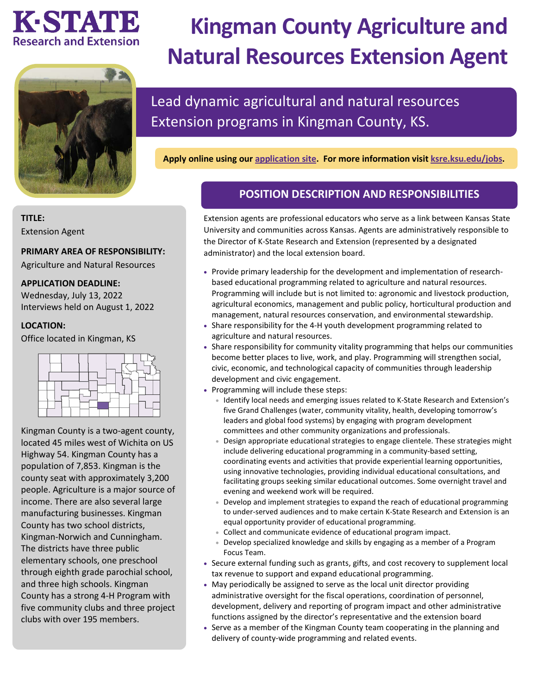## KESTVATE **Research and Extension**



# **Kingman County Agriculture and Natural Resources Extension Agent**

## Lead dynamic agricultural and natural resources Extension programs in Kingman County, KS.

**Apply online using our [application site.](https://careers.pageuppeople.com/742/cw/en-us/job/513248/kingman-county-agriculture-and-natural-resources-extension-agent) For more information visit [ksre.ksu.edu/jobs.](https://www.ksre.k-state.edu/jobs/current_openings/index.html)** 

### **POSITION DESCRIPTION AND RESPONSIBILITIES**

Extension agents are professional educators who serve as a link between Kansas State University and communities across Kansas. Agents are administratively responsible to the Director of K-State Research and Extension (represented by a designated administrator) and the local extension board.

- Provide primary leadership for the development and implementation of researchbased educational programming related to agriculture and natural resources. Programming will include but is not limited to: agronomic and livestock production, agricultural economics, management and public policy, horticultural production and management, natural resources conservation, and environmental stewardship.
- Share responsibility for the 4-H youth development programming related to agriculture and natural resources.
- Share responsibility for community vitality programming that helps our communities become better places to live, work, and play. Programming will strengthen social, civic, economic, and technological capacity of communities through leadership development and civic engagement.
- Programming will include these steps:
	- Identify local needs and emerging issues related to K-State Research and Extension's five Grand Challenges (water, community vitality, health, developing tomorrow's leaders and global food systems) by engaging with program development committees and other community organizations and professionals.
	- Design appropriate educational strategies to engage clientele. These strategies might include delivering educational programming in a community-based setting, coordinating events and activities that provide experiential learning opportunities, using innovative technologies, providing individual educational consultations, and facilitating groups seeking similar educational outcomes. Some overnight travel and evening and weekend work will be required.
	- Develop and implement strategies to expand the reach of educational programming to under-served audiences and to make certain K-State Research and Extension is an equal opportunity provider of educational programming.
	- Collect and communicate evidence of educational program impact.
	- Develop specialized knowledge and skills by engaging as a member of a Program Focus Team.
- Secure external funding such as grants, gifts, and cost recovery to supplement local tax revenue to support and expand educational programming.
- May periodically be assigned to serve as the local unit director providing administrative oversight for the fiscal operations, coordination of personnel, development, delivery and reporting of program impact and other administrative functions assigned by the director's representative and the extension board
- Serve as a member of the Kingman County team cooperating in the planning and delivery of county-wide programming and related events.

#### **TITLE:**

Extension Agent

#### **PRIMARY AREA OF RESPONSIBILITY:**

Agriculture and Natural Resources

#### **APPLICATION DEADLINE:**

Wednesday, July 13, 2022 Interviews held on August 1, 2022

#### **LOCATION:**

Office located in Kingman, KS



Kingman County is a two-agent county, located 45 miles west of Wichita on US Highway 54. Kingman County has a population of 7,853. Kingman is the county seat with approximately 3,200 people. Agriculture is a major source of income. There are also several large manufacturing businesses. Kingman County has two school districts, Kingman-Norwich and Cunningham. The districts have three public elementary schools, one preschool through eighth grade parochial school, and three high schools. Kingman County has a strong 4-H Program with five community clubs and three project clubs with over 195 members.